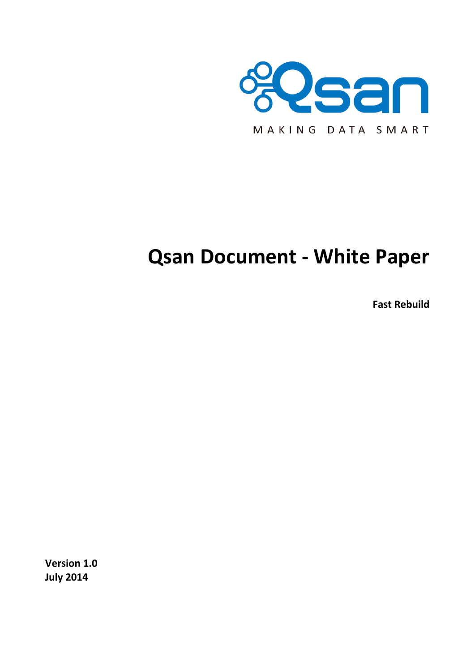

# **Qsan Document - White Paper**

**Fast Rebuild**

**Version 1.0 July 2014**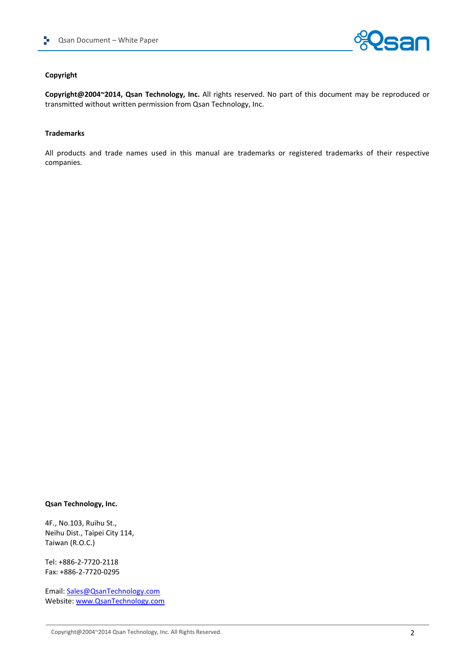

#### **Copyright**

**Copyright@2004~2014, Qsan Technology, Inc.** All rights reserved. No part of this document may be reproduced or transmitted without written permission from Qsan Technology, Inc.

#### **Trademarks**

All products and trade names used in this manual are trademarks or registered trademarks of their respective companies.

#### **Qsan Technology, Inc.**

4F., No.103, Ruihu St., Neihu Dist., Taipei City 114, Taiwan (R.O.C.)

Tel: +886-2-7720-2118 Fax: +886-2-7720-0295

Email: [Sales@QsanTechnology.com](mailto:Sales@QsanTechnology.com) Website: [www.QsanTechnology.com](http://www.qsantechnology.com/)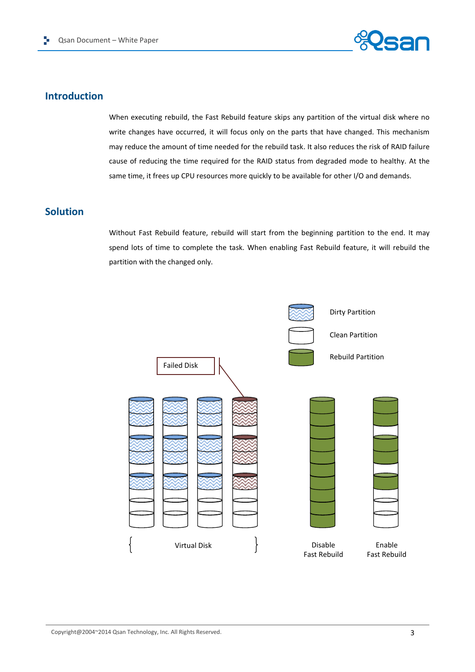

## **Introduction**

When executing rebuild, the Fast Rebuild feature skips any partition of the virtual disk where no write changes have occurred, it will focus only on the parts that have changed. This mechanism may reduce the amount of time needed for the rebuild task. It also reduces the risk of RAID failure cause of reducing the time required for the RAID status from degraded mode to healthy. At the same time, it frees up CPU resources more quickly to be available for other I/O and demands.

## **Solution**

Without Fast Rebuild feature, rebuild will start from the beginning partition to the end. It may spend lots of time to complete the task. When enabling Fast Rebuild feature, it will rebuild the partition with the changed only.

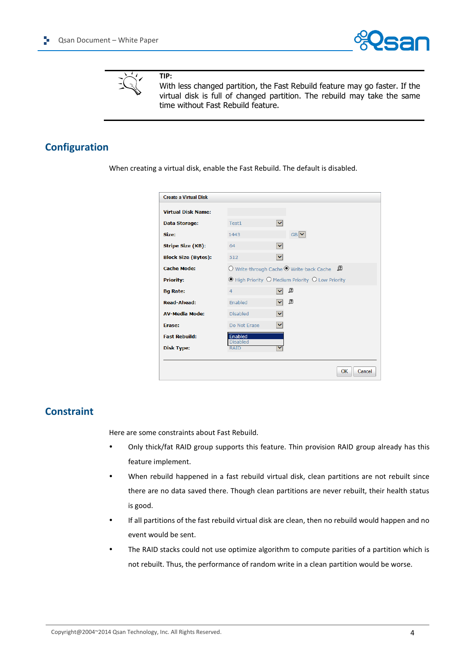



**TIP:**

With less changed partition, the Fast Rebuild feature may go faster. If the virtual disk is full of changed partition. The rebuild may take the same time without Fast Rebuild feature.

# **Configuration**

When creating a virtual disk, enable the Fast Rebuild. The default is disabled.

| <b>Create a Virtual Disk</b> |                                                                    |                                                       |              |  |
|------------------------------|--------------------------------------------------------------------|-------------------------------------------------------|--------------|--|
| <b>Virtual Disk Name:</b>    |                                                                    |                                                       |              |  |
| Data Storage:                | Test1                                                              | $\checkmark$                                          |              |  |
| Size:                        | 1443                                                               | $GB$ $\vee$                                           |              |  |
| <b>Stripe Size (KB):</b>     | 64                                                                 | $\checkmark$                                          |              |  |
| <b>Block Size (Bytes):</b>   | 512                                                                | $\checkmark$                                          |              |  |
| <b>Cache Mode:</b>           |                                                                    | O Write-through Cache $\odot$ Write-back Cache $\Box$ |              |  |
| <b>Priority:</b>             | $\odot$ High Priority $\odot$ Medium Priority $\odot$ Low Priority |                                                       |              |  |
| <b>Bq Rate:</b>              | 4                                                                  | ₽<br>$\checkmark$                                     |              |  |
| <b>Read-Ahead:</b>           | Enabled                                                            | ß<br>$\vee$                                           |              |  |
| <b>AV-Media Mode:</b>        | <b>Disabled</b>                                                    | $\vee$                                                |              |  |
| Erase:                       | Do Not Erase                                                       | $\vert \mathbf{v} \vert$                              |              |  |
| <b>Fast Rebuild:</b>         | Enabled<br><b>Disabled</b>                                         |                                                       |              |  |
| <b>Disk Type:</b>            | <b>RAID</b>                                                        |                                                       |              |  |
|                              |                                                                    |                                                       |              |  |
|                              |                                                                    |                                                       | OK<br>Cancel |  |

## **Constraint**

Here are some constraints about Fast Rebuild.

- Only thick/fat RAID group supports this feature. Thin provision RAID group already has this feature implement.
- When rebuild happened in a fast rebuild virtual disk, clean partitions are not rebuilt since there are no data saved there. Though clean partitions are never rebuilt, their health status is good.
- If all partitions of the fast rebuild virtual disk are clean, then no rebuild would happen and no event would be sent.
- The RAID stacks could not use optimize algorithm to compute parities of a partition which is not rebuilt. Thus, the performance of random write in a clean partition would be worse.